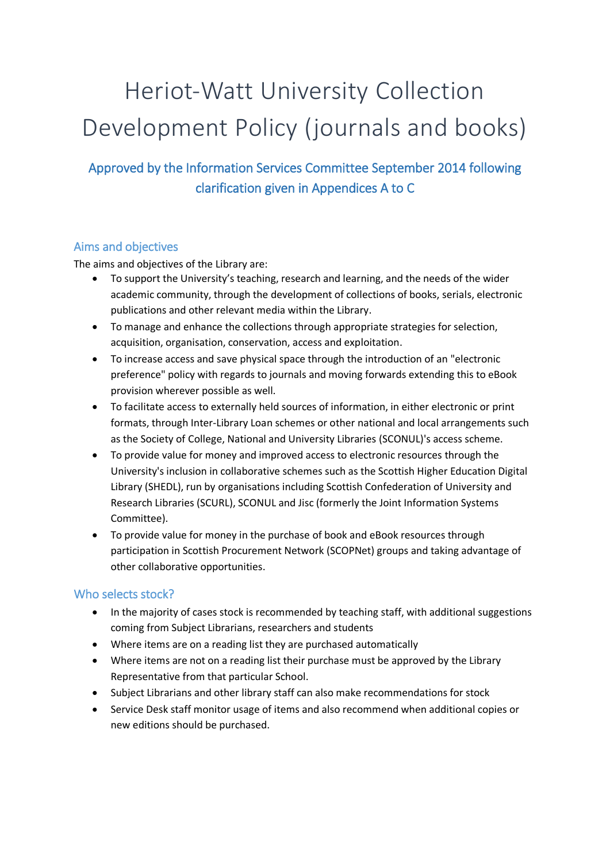# Heriot-Watt University Collection Development Policy (journals and books)

Approved by the Information Services Committee September 2014 following clarification given in Appendices A to C

## Aims and objectives

The aims and objectives of the Library are:

- To support the University's teaching, research and learning, and the needs of the wider academic community, through the development of collections of books, serials, electronic publications and other relevant media within the Library.
- To manage and enhance the collections through appropriate strategies for selection, acquisition, organisation, conservation, access and exploitation.
- To increase access and save physical space through the introduction of an "electronic preference" policy with regards to journals and moving forwards extending this to eBook provision wherever possible as well.
- To facilitate access to externally held sources of information, in either electronic or print formats, through Inter-Library Loan schemes or other national and local arrangements such as the [Society of College, National and University Libraries](http://www.sconul.ac.uk/) (SCONUL)'s access scheme.
- To provide value for money and improved access to electronic resources through the University's inclusion in collaborative schemes such as the Scottish Higher Education Digital Library (SHEDL), run by organisations including Scottish Confederation of University and Research Libraries (SCURL), SCONUL and Jisc (formerly the Joint Information Systems Committee).
- To provide value for money in the purchase of book and eBook resources through participation in Scottish Procurement Network (SCOPNet) groups and taking advantage of other collaborative opportunities.

## Who selects stock?

- In the majority of cases stock is recommended by teaching staff, with additional suggestions coming from Subject Librarians, researchers and students
- Where items are on a reading list they are purchased automatically
- Where items are not on a reading list their purchase must be approved by the Library Representative from that particular School.
- Subject Librarians and other library staff can also make recommendations for stock
- Service Desk staff monitor usage of items and also recommend when additional copies or new editions should be purchased.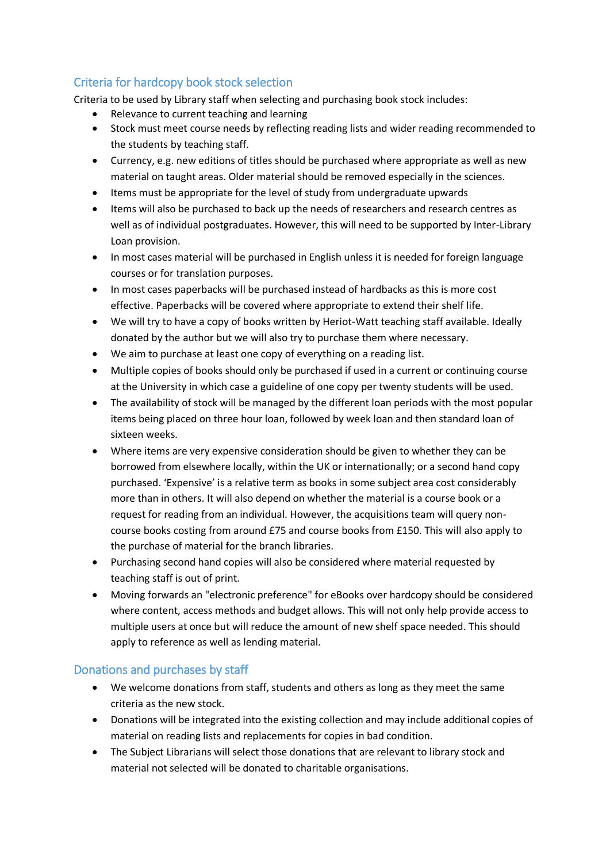## Criteria for hardcopy book stock selection

Criteria to be used by Library staff when selecting and purchasing book stock includes:

- Relevance to current teaching and learning
- Stock must meet course needs by reflecting reading lists and wider reading recommended to the students by teaching staff.
- Currency, e.g. new editions of titles should be purchased where appropriate as well as new material on taught areas. Older material should be removed especially in the sciences.
- Items must be appropriate for the level of study from undergraduate upwards
- Items will also be purchased to back up the needs of researchers and research centres as well as of individual postgraduates. However, this will need to be supported by Inter-Library Loan provision.
- In most cases material will be purchased in English unless it is needed for foreign language courses or for translation purposes.
- In most cases paperbacks will be purchased instead of hardbacks as this is more cost effective. Paperbacks will be covered where appropriate to extend their shelf life.
- We will try to have a copy of books written by Heriot-Watt teaching staff available. Ideally donated by the author but we will also try to purchase them where necessary.
- We aim to purchase at least one copy of everything on a reading list.
- Multiple copies of books should only be purchased if used in a current or continuing course at the University in which case a guideline of one copy per twenty students will be used.
- The availability of stock will be managed by the different loan periods with the most popular items being placed on three hour loan, followed by week loan and then standard loan of sixteen weeks.
- Where items are very expensive consideration should be given to whether they can be borrowed from elsewhere locally, within the UK or internationally; or a second hand copy purchased. 'Expensive' is a relative term as books in some subject area cost considerably more than in others. It will also depend on whether the material is a course book or a request for reading from an individual. However, the acquisitions team will query noncourse books costing from around £75 and course books from £150. This will also apply to the purchase of material for the branch libraries.
- Purchasing second hand copies will also be considered where material requested by teaching staff is out of print.
- Moving forwards an "electronic preference" for eBooks over hardcopy should be considered where content, access methods and budget allows. This will not only help provide access to multiple users at once but will reduce the amount of new shelf space needed. This should apply to reference as well as lending material.

#### Donations and purchases by staff

- We welcome donations from staff, students and others as long as they meet the same criteria as the new stock.
- Donations will be integrated into the existing collection and may include additional copies of material on reading lists and replacements for copies in bad condition.
- The Subject Librarians will select those donations that are relevant to library stock and material not selected will be donated to charitable organisations.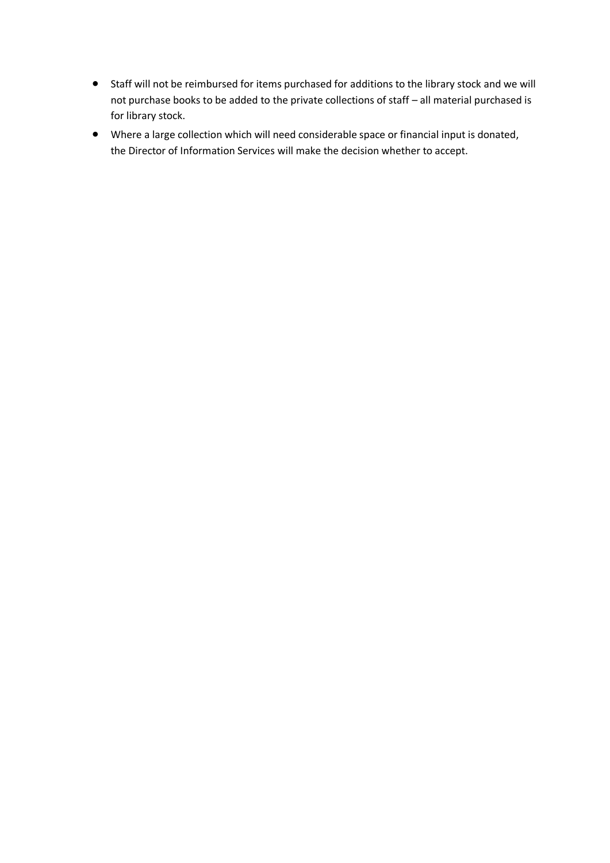- Staff will not be reimbursed for items purchased for additions to the library stock and we will not purchase books to be added to the private collections of staff – all material purchased is for library stock.
- Where a large collection which will need considerable space or financial input is donated, the Director of Information Services will make the decision whether to accept.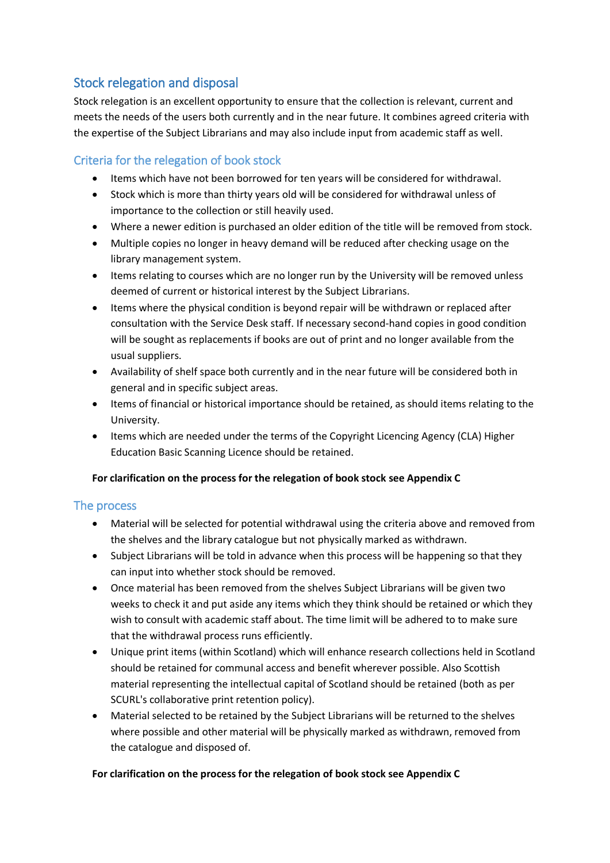# Stock relegation and disposal

Stock relegation is an excellent opportunity to ensure that the collection is relevant, current and meets the needs of the users both currently and in the near future. It combines agreed criteria with the expertise of the Subject Librarians and may also include input from academic staff as well.

## Criteria for the relegation of book stock

- Items which have not been borrowed for ten years will be considered for withdrawal.
- Stock which is more than thirty years old will be considered for withdrawal unless of importance to the collection or still heavily used.
- Where a newer edition is purchased an older edition of the title will be removed from stock.
- Multiple copies no longer in heavy demand will be reduced after checking usage on the library management system.
- Items relating to courses which are no longer run by the University will be removed unless deemed of current or historical interest by the Subject Librarians.
- Items where the physical condition is beyond repair will be withdrawn or replaced after consultation with the Service Desk staff. If necessary second-hand copies in good condition will be sought as replacements if books are out of print and no longer available from the usual suppliers.
- Availability of shelf space both currently and in the near future will be considered both in general and in specific subject areas.
- Items of financial or historical importance should be retained, as should items relating to the University.
- Items which are needed under the terms of the Copyright Licencing Agency (CLA) Higher Education Basic Scanning Licence should be retained.

#### **For clarification on the process for the relegation of book stock see Appendix C**

#### The process

- Material will be selected for potential withdrawal using the criteria above and removed from the shelves and the library catalogue but not physically marked as withdrawn.
- Subject Librarians will be told in advance when this process will be happening so that they can input into whether stock should be removed.
- Once material has been removed from the shelves Subject Librarians will be given two weeks to check it and put aside any items which they think should be retained or which they wish to consult with academic staff about. The time limit will be adhered to to make sure that the withdrawal process runs efficiently.
- Unique print items (within Scotland) which will enhance research collections held in Scotland should be retained for communal access and benefit wherever possible. Also Scottish material representing the intellectual capital of Scotland should be retained (both as per SCURL's collaborative print retention policy).
- Material selected to be retained by the Subject Librarians will be returned to the shelves where possible and other material will be physically marked as withdrawn, removed from the catalogue and disposed of.

#### **For clarification on the process for the relegation of book stock see Appendix C**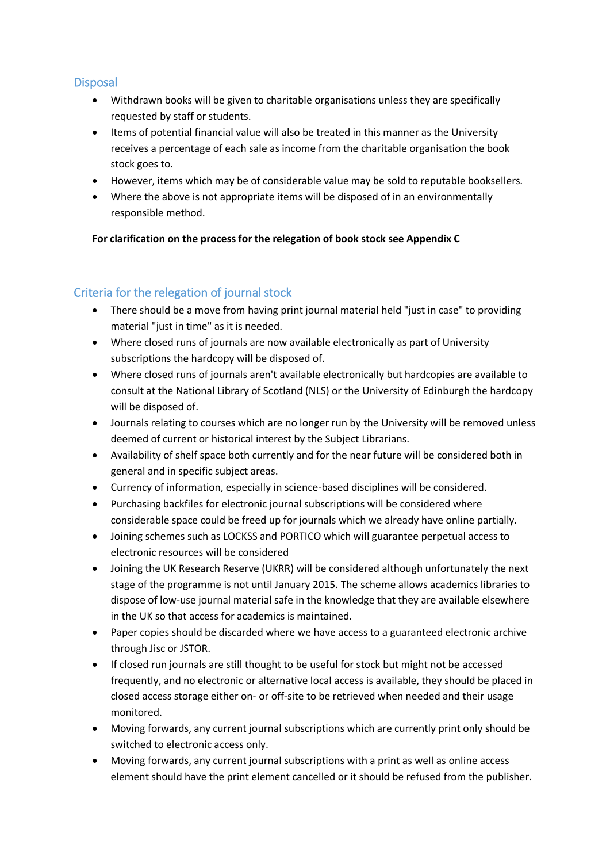## **Disposal**

- Withdrawn books will be given to charitable organisations unless they are specifically requested by staff or students.
- Items of potential financial value will also be treated in this manner as the University receives a percentage of each sale as income from the charitable organisation the book stock goes to.
- However, items which may be of considerable value may be sold to reputable booksellers.
- Where the above is not appropriate items will be disposed of in an environmentally responsible method.

**For clarification on the process for the relegation of book stock see Appendix C**

## Criteria for the relegation of journal stock

- There should be a move from having print journal material held "just in case" to providing material "just in time" as it is needed.
- Where closed runs of journals are now available electronically as part of University subscriptions the hardcopy will be disposed of.
- Where closed runs of journals aren't available electronically but hardcopies are available to consult at the National Library of Scotland (NLS) or the University of Edinburgh the hardcopy will be disposed of.
- Journals relating to courses which are no longer run by the University will be removed unless deemed of current or historical interest by the Subject Librarians.
- Availability of shelf space both currently and for the near future will be considered both in general and in specific subject areas.
- Currency of information, especially in science-based disciplines will be considered.
- Purchasing backfiles for electronic journal subscriptions will be considered where considerable space could be freed up for journals which we already have online partially.
- Joining schemes such as LOCKSS and PORTICO which will guarantee perpetual access to electronic resources will be considered
- Joining the UK Research Reserve (UKRR) will be considered although unfortunately the next stage of the programme is not until January 2015. The scheme allows academics libraries to dispose of low-use journal material safe in the knowledge that they are available elsewhere in the UK so that access for academics is maintained.
- Paper copies should be discarded where we have access to a guaranteed electronic archive through Jisc or JSTOR.
- If closed run journals are still thought to be useful for stock but might not be accessed frequently, and no electronic or alternative local access is available, they should be placed in closed access storage either on- or off-site to be retrieved when needed and their usage monitored.
- Moving forwards, any current journal subscriptions which are currently print only should be switched to electronic access only.
- Moving forwards, any current journal subscriptions with a print as well as online access element should have the print element cancelled or it should be refused from the publisher.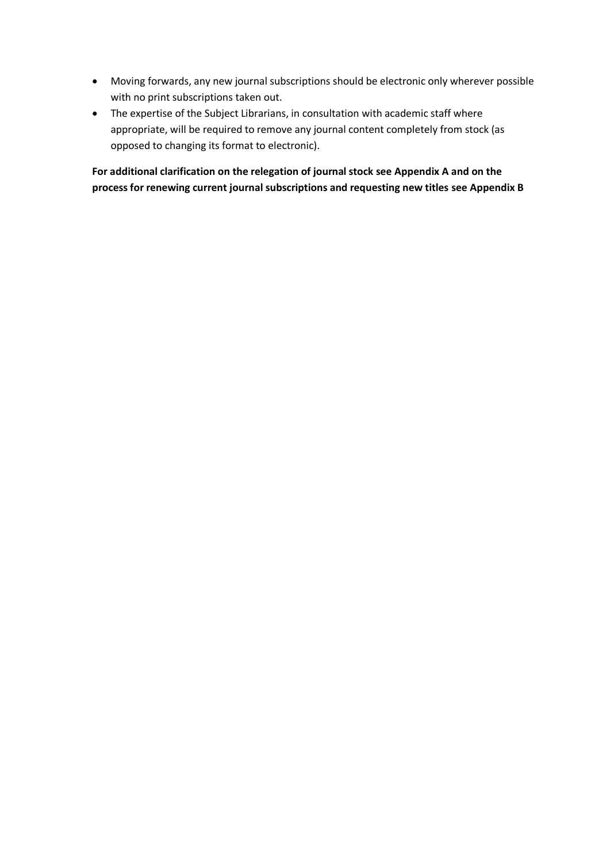- Moving forwards, any new journal subscriptions should be electronic only wherever possible with no print subscriptions taken out.
- The expertise of the Subject Librarians, in consultation with academic staff where appropriate, will be required to remove any journal content completely from stock (as opposed to changing its format to electronic).

**For additional clarification on the relegation of journal stock see Appendix A and on the process for renewing current journal subscriptions and requesting new titles see Appendix B**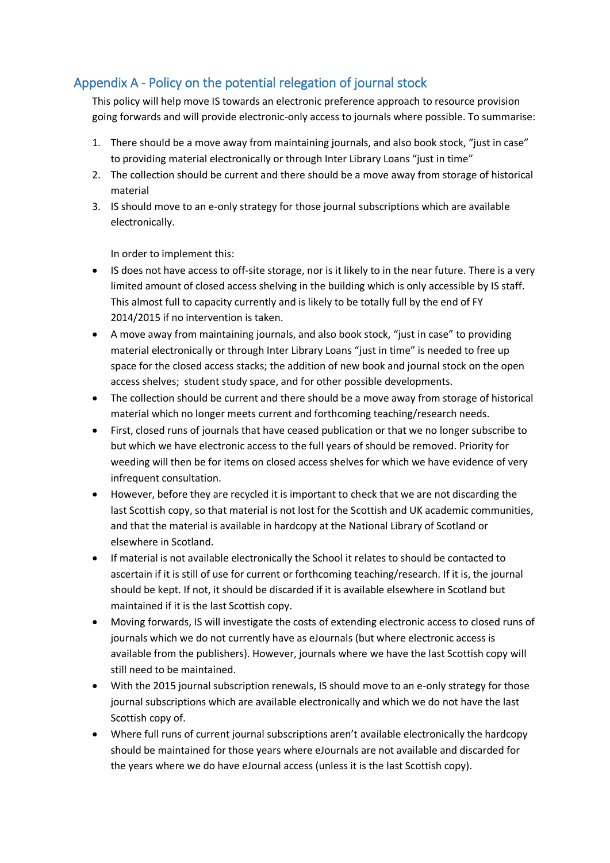# Appendix A - Policy on the potential relegation of journal stock

This policy will help move IS towards an electronic preference approach to resource provision going forwards and will provide electronic-only access to journals where possible. To summarise:

- 1. There should be a move away from maintaining journals, and also book stock, "just in case" to providing material electronically or through Inter Library Loans "just in time"
- 2. The collection should be current and there should be a move away from storage of historical material
- 3. IS should move to an e-only strategy for those journal subscriptions which are available electronically.

In order to implement this:

- IS does not have access to off-site storage, nor is it likely to in the near future. There is a very limited amount of closed access shelving in the building which is only accessible by IS staff. This almost full to capacity currently and is likely to be totally full by the end of FY 2014/2015 if no intervention is taken.
- A move away from maintaining journals, and also book stock, "just in case" to providing material electronically or through Inter Library Loans "just in time" is needed to free up space for the closed access stacks; the addition of new book and journal stock on the open access shelves; student study space, and for other possible developments.
- The collection should be current and there should be a move away from storage of historical material which no longer meets current and forthcoming teaching/research needs.
- First, closed runs of journals that have ceased publication or that we no longer subscribe to but which we have electronic access to the full years of should be removed. Priority for weeding will then be for items on closed access shelves for which we have evidence of very infrequent consultation.
- However, before they are recycled it is important to check that we are not discarding the last Scottish copy, so that material is not lost for the Scottish and UK academic communities, and that the material is available in hardcopy at the National Library of Scotland or elsewhere in Scotland.
- If material is not available electronically the School it relates to should be contacted to ascertain if it is still of use for current or forthcoming teaching/research. If it is, the journal should be kept. If not, it should be discarded if it is available elsewhere in Scotland but maintained if it is the last Scottish copy.
- Moving forwards, IS will investigate the costs of extending electronic access to closed runs of journals which we do not currently have as eJournals (but where electronic access is available from the publishers). However, journals where we have the last Scottish copy will still need to be maintained.
- With the 2015 journal subscription renewals, IS should move to an e-only strategy for those journal subscriptions which are available electronically and which we do not have the last Scottish copy of.
- Where full runs of current journal subscriptions aren't available electronically the hardcopy should be maintained for those years where eJournals are not available and discarded for the years where we do have eJournal access (unless it is the last Scottish copy).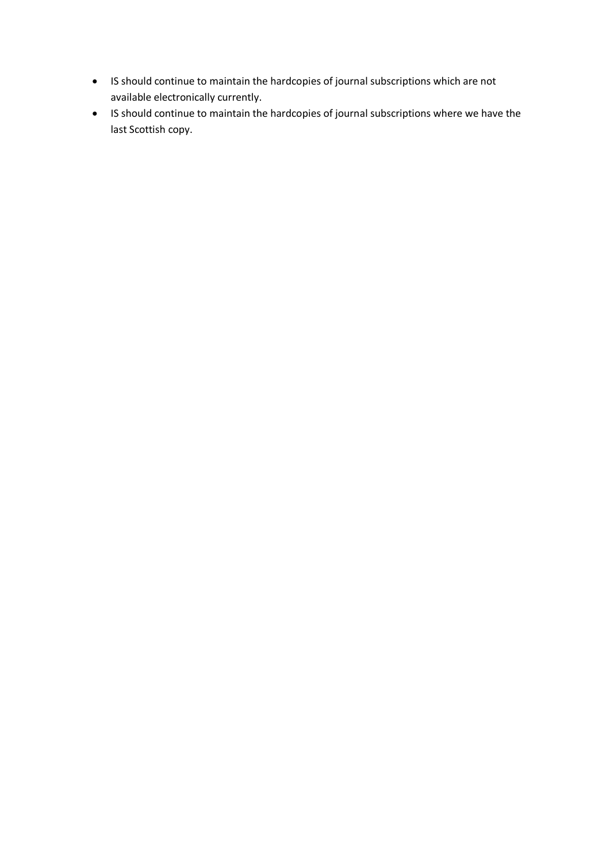- IS should continue to maintain the hardcopies of journal subscriptions which are not available electronically currently.
- IS should continue to maintain the hardcopies of journal subscriptions where we have the last Scottish copy.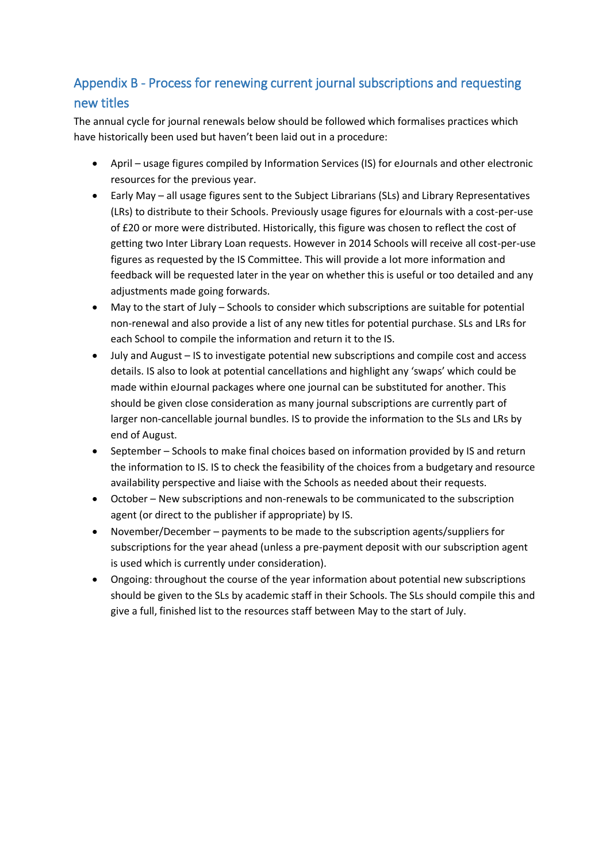# Appendix B - Process for renewing current journal subscriptions and requesting new titles

The annual cycle for journal renewals below should be followed which formalises practices which have historically been used but haven't been laid out in a procedure:

- April usage figures compiled by Information Services (IS) for eJournals and other electronic resources for the previous year.
- Early May all usage figures sent to the Subject Librarians (SLs) and Library Representatives (LRs) to distribute to their Schools. Previously usage figures for eJournals with a cost-per-use of £20 or more were distributed. Historically, this figure was chosen to reflect the cost of getting two Inter Library Loan requests. However in 2014 Schools will receive all cost-per-use figures as requested by the IS Committee. This will provide a lot more information and feedback will be requested later in the year on whether this is useful or too detailed and any adjustments made going forwards.
- May to the start of July Schools to consider which subscriptions are suitable for potential non-renewal and also provide a list of any new titles for potential purchase. SLs and LRs for each School to compile the information and return it to the IS.
- July and August IS to investigate potential new subscriptions and compile cost and access details. IS also to look at potential cancellations and highlight any 'swaps' which could be made within eJournal packages where one journal can be substituted for another. This should be given close consideration as many journal subscriptions are currently part of larger non-cancellable journal bundles. IS to provide the information to the SLs and LRs by end of August.
- September Schools to make final choices based on information provided by IS and return the information to IS. IS to check the feasibility of the choices from a budgetary and resource availability perspective and liaise with the Schools as needed about their requests.
- October New subscriptions and non-renewals to be communicated to the subscription agent (or direct to the publisher if appropriate) by IS.
- November/December payments to be made to the subscription agents/suppliers for subscriptions for the year ahead (unless a pre-payment deposit with our subscription agent is used which is currently under consideration).
- Ongoing: throughout the course of the year information about potential new subscriptions should be given to the SLs by academic staff in their Schools. The SLs should compile this and give a full, finished list to the resources staff between May to the start of July.